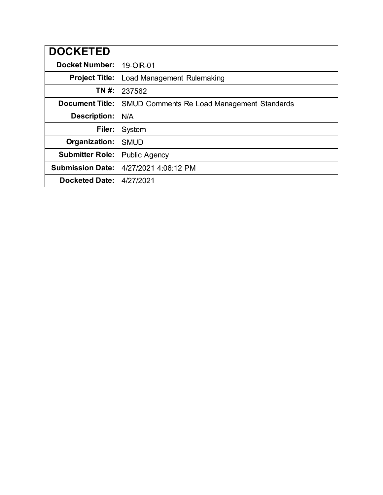| <b>DOCKETED</b>         |                                                   |
|-------------------------|---------------------------------------------------|
| <b>Docket Number:</b>   | 19-OIR-01                                         |
| <b>Project Title:</b>   | Load Management Rulemaking                        |
| TN #:                   | 237562                                            |
| <b>Document Title:</b>  | <b>SMUD Comments Re Load Management Standards</b> |
| <b>Description:</b>     | N/A                                               |
| Filer:                  | System                                            |
| Organization:           | <b>SMUD</b>                                       |
| <b>Submitter Role:</b>  | <b>Public Agency</b>                              |
| <b>Submission Date:</b> | 4/27/2021 4:06:12 PM                              |
| <b>Docketed Date:</b>   | 4/27/2021                                         |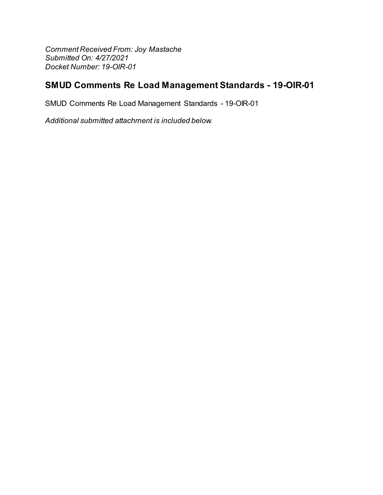Comment Received From: Joy Mastache Submitted On: 4/27/2021 Docket Number: 19-OIR-01

# SMUD Comments Re Load Management Standards - 19-OIR-01

SMUD Comments Re Load Management Standards - 19-OIR-01

Additional submitted attachment is included below.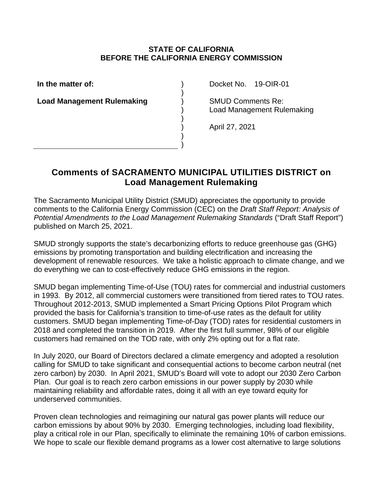## **STATE OF CALIFORNIA BEFORE THE CALIFORNIA ENERGY COMMISSION**

) ) ) ) ) ) ) )

**In the matter of:**

**Load Management Rulemaking**

Docket No. 19-OIR-01

SMUD Comments Re: Load Management Rulemaking

April 27, 2021

# **Comments of SACRAMENTO MUNICIPAL UTILITIES DISTRICT on Load Management Rulemaking**

The Sacramento Municipal Utility District (SMUD) appreciates the opportunity to provide comments to the California Energy Commission (CEC) on the *Draft Staff Report: Analysis of Potential Amendments to the Load Management Rulemaking Standards* ("Draft Staff Report") published on March 25, 2021.

SMUD strongly supports the state's decarbonizing efforts to reduce greenhouse gas (GHG) emissions by promoting transportation and building electrification and increasing the development of renewable resources. We take a holistic approach to climate change, and we do everything we can to cost-effectively reduce GHG emissions in the region.

SMUD began implementing Time-of-Use (TOU) rates for commercial and industrial customers in 1993. By 2012, all commercial customers were transitioned from tiered rates to TOU rates. Throughout 2012-2013, SMUD implemented a Smart Pricing Options Pilot Program which provided the basis for California's transition to time-of-use rates as the default for utility customers. SMUD began implementing Time-of-Day (TOD) rates for residential customers in 2018 and completed the transition in 2019. After the first full summer, 98% of our eligible customers had remained on the TOD rate, with only 2% opting out for a flat rate.

In July 2020, our Board of Directors declared a climate emergency and adopted a resolution calling for SMUD to take significant and consequential actions to become carbon neutral (net zero carbon) by 2030. In April 2021, SMUD's Board will vote to adopt our 2030 Zero Carbon Plan. Our goal is to reach zero carbon emissions in our power supply by 2030 while maintaining reliability and affordable rates, doing it all with an eye toward equity for underserved communities.

Proven clean technologies and reimagining our natural gas power plants will reduce our carbon emissions by about 90% by 2030. Emerging technologies, including load flexibility, play a critical role in our Plan, specifically to eliminate the remaining 10% of carbon emissions. We hope to scale our flexible demand programs as a lower cost alternative to large solutions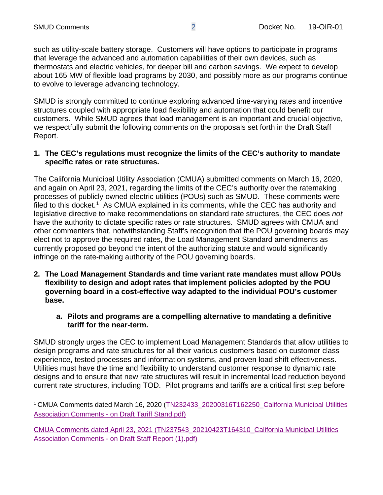such as utility-scale battery storage. Customers will have options to participate in programs that leverage the advanced and automation capabilities of their own devices, such as thermostats and electric vehicles, for deeper bill and carbon savings. We expect to develop about 165 MW of flexible load programs by 2030, and possibly more as our programs continue to evolve to leverage advancing technology.

SMUD is strongly committed to continue exploring advanced time-varying rates and incentive structures coupled with appropriate load flexibility and automation that could benefit our customers. While SMUD agrees that load management is an important and crucial objective, we respectfully submit the following comments on the proposals set forth in the Draft Staff Report.

## **1. The CEC's regulations must recognize the limits of the CEC's authority to mandate specific rates or rate structures.**

The California Municipal Utility Association (CMUA) submitted comments on March 16, 2020, and again on April 23, 2021, regarding the limits of the CEC's authority over the ratemaking processes of publicly owned electric utilities (POUs) such as SMUD. These comments were filed to this docket.<sup>[1](#page-3-0)</sup> As CMUA explained in its comments, while the CEC has authority and legislative directive to make recommendations on standard rate structures, the CEC does *not*  have the authority to dictate specific rates or rate structures. SMUD agrees with CMUA and other commenters that, notwithstanding Staff's recognition that the POU governing boards may elect not to approve the required rates, the Load Management Standard amendments as currently proposed go beyond the intent of the authorizing statute and would significantly infringe on the rate-making authority of the POU governing boards.

- **2. The Load Management Standards and time variant rate mandates must allow POUs flexibility to design and adopt rates that implement policies adopted by the POU governing board in a cost-effective way adapted to the individual POU's customer base.**
	- **a. Pilots and programs are a compelling alternative to mandating a definitive tariff for the near-term.**

SMUD strongly urges the CEC to implement Load Management Standards that allow utilities to design programs and rate structures for all their various customers based on customer class experience, tested processes and information systems, and proven load shift effectiveness. Utilities must have the time and flexibility to understand customer response to dynamic rate designs and to ensure that new rate structures will result in incremental load reduction beyond current rate structures, including TOD. Pilot programs and tariffs are a critical first step before

<span id="page-3-0"></span><sup>&</sup>lt;sup>1</sup> CMUA Comments dated March 16, 2020 (TN232433\_20200316T162250\_California Municipal Utilities Association Comments - [on Draft Tariff Stand.pdf\)](https://efiling.energy.ca.gov/GetDocument.aspx?tn=232433&DocumentContentId=64444)

[CMUA Comments dated April 23, 2021 \(TN237543\\_20210423T164310\\_California Municipal Utilities](https://efiling.energy.ca.gov/GetDocument.aspx?tn=237543&DocumentContentId=70752)  Association Comments - [on Draft Staff Report \(1\).pdf\)](https://efiling.energy.ca.gov/GetDocument.aspx?tn=237543&DocumentContentId=70752)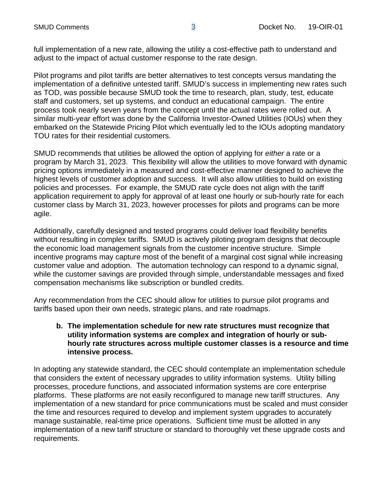full implementation of a new rate, allowing the utility a cost-effective path to understand and adjust to the impact of actual customer response to the rate design.

Pilot programs and pilot tariffs are better alternatives to test concepts versus mandating the implementation of a definitive untested tariff. SMUD's success in implementing new rates such as TOD, was possible because SMUD took the time to research, plan, study, test, educate staff and customers, set up systems, and conduct an educational campaign. The entire process took nearly seven years from the concept until the actual rates were rolled out. A similar multi-year effort was done by the California Investor-Owned Utilities (IOUs) when they embarked on the Statewide Pricing Pilot which eventually led to the IOUs adopting mandatory TOU rates for their residential customers.

SMUD recommends that utilities be allowed the option of applying for *either* a rate or a program by March 31, 2023. This flexibility will allow the utilities to move forward with dynamic pricing options immediately in a measured and cost-effective manner designed to achieve the highest levels of customer adoption and success. It will also allow utilities to build on existing policies and processes. For example, the SMUD rate cycle does not align with the tariff application requirement to apply for approval of at least one hourly or sub-hourly rate for each customer class by March 31, 2023, however processes for pilots and programs can be more agile.

Additionally, carefully designed and tested programs could deliver load flexibility benefits without resulting in complex tariffs. SMUD is actively piloting program designs that decouple the economic load management signals from the customer incentive structure. Simple incentive programs may capture most of the benefit of a marginal cost signal while increasing customer value and adoption. The automation technology can respond to a dynamic signal, while the customer savings are provided through simple, understandable messages and fixed compensation mechanisms like subscription or bundled credits.

Any recommendation from the CEC should allow for utilities to pursue pilot programs and tariffs based upon their own needs, strategic plans, and rate roadmaps.

### **b. The implementation schedule for new rate structures must recognize that utility information systems are complex and integration of hourly or subhourly rate structures across multiple customer classes is a resource and time intensive process.**

In adopting any statewide standard, the CEC should contemplate an implementation schedule that considers the extent of necessary upgrades to utility information systems. Utility billing processes, procedure functions, and associated information systems are core enterprise platforms. These platforms are not easily reconfigured to manage new tariff structures. Any implementation of a new standard for price communications must be scaled and must consider the time and resources required to develop and implement system upgrades to accurately manage sustainable, real-time price operations. Sufficient time must be allotted in any implementation of a new tariff structure or standard to thoroughly vet these upgrade costs and requirements.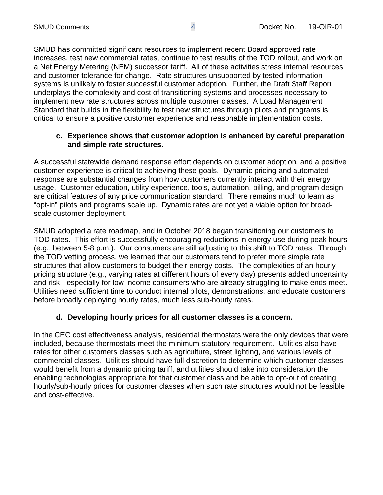SMUD has committed significant resources to implement recent Board approved rate increases, test new commercial rates, continue to test results of the TOD rollout, and work on a Net Energy Metering (NEM) successor tariff. All of these activities stress internal resources and customer tolerance for change. Rate structures unsupported by tested information systems is unlikely to foster successful customer adoption. Further, the Draft Staff Report underplays the complexity and cost of transitioning systems and processes necessary to implement new rate structures across multiple customer classes. A Load Management Standard that builds in the flexibility to test new structures through pilots and programs is critical to ensure a positive customer experience and reasonable implementation costs.

### **c. Experience shows that customer adoption is enhanced by careful preparation and simple rate structures.**

A successful statewide demand response effort depends on customer adoption, and a positive customer experience is critical to achieving these goals. Dynamic pricing and automated response are substantial changes from how customers currently interact with their energy usage. Customer education, utility experience, tools, automation, billing, and program design are critical features of any price communication standard. There remains much to learn as "opt-in" pilots and programs scale up. Dynamic rates are not yet a viable option for broadscale customer deployment.

SMUD adopted a rate roadmap, and in October 2018 began transitioning our customers to TOD rates. This effort is successfully encouraging reductions in energy use during peak hours (e.g., between 5-8 p.m.). Our consumers are still adjusting to this shift to TOD rates. Through the TOD vetting process, we learned that our customers tend to prefer more simple rate structures that allow customers to budget their energy costs. The complexities of an hourly pricing structure (e.g., varying rates at different hours of every day) presents added uncertainty and risk - especially for low-income consumers who are already struggling to make ends meet. Utilities need sufficient time to conduct internal pilots, demonstrations, and educate customers before broadly deploying hourly rates, much less sub-hourly rates.

## **d. Developing hourly prices for all customer classes is a concern.**

In the CEC cost effectiveness analysis, residential thermostats were the only devices that were included, because thermostats meet the minimum statutory requirement. Utilities also have rates for other customers classes such as agriculture, street lighting, and various levels of commercial classes. Utilities should have full discretion to determine which customer classes would benefit from a dynamic pricing tariff, and utilities should take into consideration the enabling technologies appropriate for that customer class and be able to opt-out of creating hourly/sub-hourly prices for customer classes when such rate structures would not be feasible and cost-effective.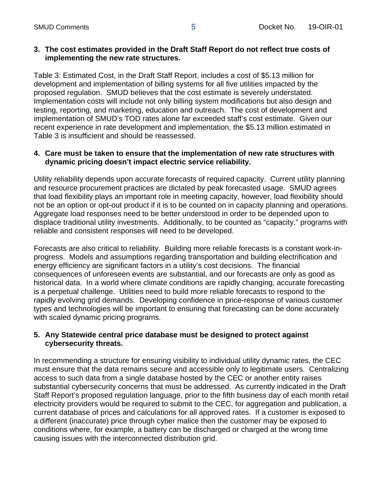#### **3. The cost estimates provided in the Draft Staff Report do not reflect true costs of implementing the new rate structures.**

Table 3: Estimated Cost, in the Draft Staff Report, includes a cost of \$5.13 million for development and implementation of billing systems for all five utilities impacted by the proposed regulation. SMUD believes that the cost estimate is severely understated. Implementation costs will include not only billing system modifications but also design and testing, reporting, and marketing, education and outreach. The cost of development and implementation of SMUD's TOD rates alone far exceeded staff's cost estimate. Given our recent experience in rate development and implementation, the \$5.13 million estimated in Table 3 is insufficient and should be reassessed.

## **4. Care must be taken to ensure that the implementation of new rate structures with dynamic pricing doesn't impact electric service reliability.**

Utility reliability depends upon accurate forecasts of required capacity. Current utility planning and resource procurement practices are dictated by peak forecasted usage. SMUD agrees that load flexibility plays an important role in meeting capacity, however, load flexibility should not be an option or opt-out product if it is to be counted on in capacity planning and operations. Aggregate load responses need to be better understood in order to be depended upon to displace traditional utility investments. Additionally, to be counted as "capacity," programs with reliable and consistent responses will need to be developed.

Forecasts are also critical to reliability. Building more reliable forecasts is a constant work-inprogress. Models and assumptions regarding transportation and building electrification and energy efficiency are significant factors in a utility's cost decisions. The financial consequences of unforeseen events are substantial, and our forecasts are only as good as historical data. In a world where climate conditions are rapidly changing, accurate forecasting is a perpetual challenge. Utilities need to build more reliable forecasts to respond to the rapidly evolving grid demands. Developing confidence in price-response of various customer types and technologies will be important to ensuring that forecasting can be done accurately with scaled dynamic pricing programs.

### **5. Any Statewide central price database must be designed to protect against cybersecurity threats.**

In recommending a structure for ensuring visibility to individual utility dynamic rates, the CEC must ensure that the data remains secure and accessible only to legitimate users. Centralizing access to such data from a single database hosted by the CEC or another entity raises substantial cybersecurity concerns that must be addressed. As currently indicated in the Draft Staff Report's proposed regulation language, prior to the fifth business day of each month retail electricity providers would be required to submit to the CEC, for aggregation and publication, a current database of prices and calculations for all approved rates. If a customer is exposed to a different (inaccurate) price through cyber malice then the customer may be exposed to conditions where, for example, a battery can be discharged or charged at the wrong time causing issues with the interconnected distribution grid.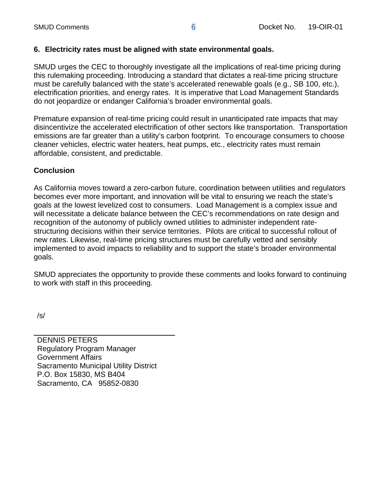## **6. Electricity rates must be aligned with state environmental goals.**

SMUD urges the CEC to thoroughly investigate all the implications of real-time pricing during this rulemaking proceeding. Introducing a standard that dictates a real-time pricing structure must be carefully balanced with the state's accelerated renewable goals (e.g., SB 100, etc.), electrification priorities, and energy rates. It is imperative that Load Management Standards do not jeopardize or endanger California's broader environmental goals.

Premature expansion of real-time pricing could result in unanticipated rate impacts that may disincentivize the accelerated electrification of other sectors like transportation. Transportation emissions are far greater than a utility's carbon footprint. To encourage consumers to choose cleaner vehicles, electric water heaters, heat pumps, etc., electricity rates must remain affordable, consistent, and predictable.

## **Conclusion**

As California moves toward a zero-carbon future, coordination between utilities and regulators becomes ever more important, and innovation will be vital to ensuring we reach the state's goals at the lowest levelized cost to consumers. Load Management is a complex issue and will necessitate a delicate balance between the CEC's recommendations on rate design and recognition of the autonomy of publicly owned utilities to administer independent ratestructuring decisions within their service territories. Pilots are critical to successful rollout of new rates. Likewise, real-time pricing structures must be carefully vetted and sensibly implemented to avoid impacts to reliability and to support the state's broader environmental goals.

SMUD appreciates the opportunity to provide these comments and looks forward to continuing to work with staff in this proceeding.

/s/

DENNIS PETERS Regulatory Program Manager Government Affairs Sacramento Municipal Utility District P.O. Box 15830, MS B404 Sacramento, CA 95852-0830